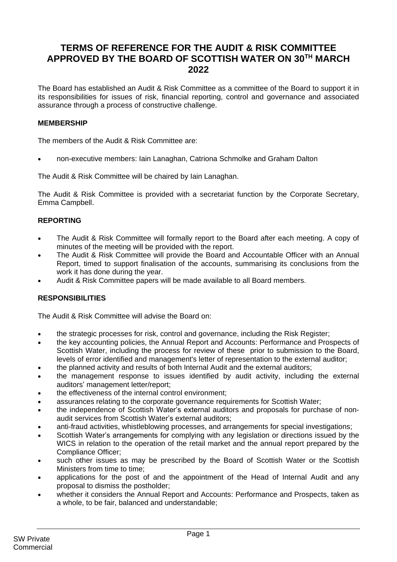# **TERMS OF REFERENCE FOR THE AUDIT & RISK COMMITTEE APPROVED BY THE BOARD OF SCOTTISH WATER ON 30TH MARCH 2022**

The Board has established an Audit & Risk Committee as a committee of the Board to support it in its responsibilities for issues of risk, financial reporting, control and governance and associated assurance through a process of constructive challenge.

## **MEMBERSHIP**

The members of the Audit & Risk Committee are:

• non-executive members: Iain Lanaghan, Catriona Schmolke and Graham Dalton

The Audit & Risk Committee will be chaired by Iain Lanaghan.

The Audit & Risk Committee is provided with a secretariat function by the Corporate Secretary, Emma Campbell.

## **REPORTING**

- The Audit & Risk Committee will formally report to the Board after each meeting. A copy of minutes of the meeting will be provided with the report.
- The Audit & Risk Committee will provide the Board and Accountable Officer with an Annual Report, timed to support finalisation of the accounts, summarising its conclusions from the work it has done during the year.
- Audit & Risk Committee papers will be made available to all Board members.

## **RESPONSIBILITIES**

The Audit & Risk Committee will advise the Board on:

- the strategic processes for risk, control and governance, including the Risk Register;
- the key accounting policies, the Annual Report and Accounts: Performance and Prospects of Scottish Water, including the process for review of these prior to submission to the Board, levels of error identified and management's letter of representation to the external auditor;
- the planned activity and results of both Internal Audit and the external auditors;
- the management response to issues identified by audit activity, including the external auditors' management letter/report;
- the effectiveness of the internal control environment;
- assurances relating to the corporate governance requirements for Scottish Water;
- the independence of Scottish Water's external auditors and proposals for purchase of nonaudit services from Scottish Water's external auditors;
- anti-fraud activities, whistleblowing processes, and arrangements for special investigations;
- Scottish Water's arrangements for complying with any legislation or directions issued by the WICS in relation to the operation of the retail market and the annual report prepared by the Compliance Officer;
- such other issues as may be prescribed by the Board of Scottish Water or the Scottish Ministers from time to time;
- applications for the post of and the appointment of the Head of Internal Audit and any proposal to dismiss the postholder;
- whether it considers the Annual Report and Accounts: Performance and Prospects, taken as a whole, to be fair, balanced and understandable;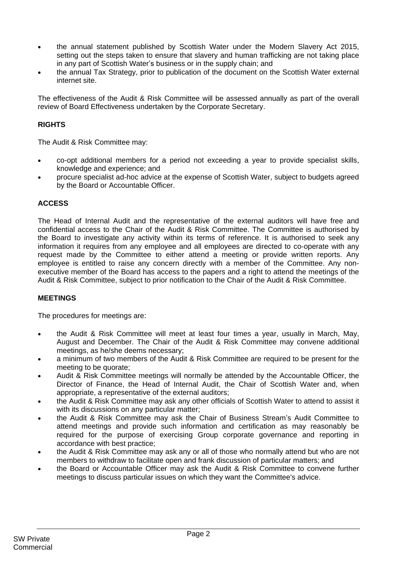- the annual statement published by Scottish Water under the Modern Slavery Act 2015, setting out the steps taken to ensure that slavery and human trafficking are not taking place in any part of Scottish Water's business or in the supply chain; and
- the annual Tax Strategy, prior to publication of the document on the Scottish Water external internet site.

The effectiveness of the Audit & Risk Committee will be assessed annually as part of the overall review of Board Effectiveness undertaken by the Corporate Secretary.

# **RIGHTS**

The Audit & Risk Committee may:

- co-opt additional members for a period not exceeding a year to provide specialist skills, knowledge and experience; and
- procure specialist ad-hoc advice at the expense of Scottish Water, subject to budgets agreed by the Board or Accountable Officer.

## **ACCESS**

The Head of Internal Audit and the representative of the external auditors will have free and confidential access to the Chair of the Audit & Risk Committee. The Committee is authorised by the Board to investigate any activity within its terms of reference. It is authorised to seek any information it requires from any employee and all employees are directed to co-operate with any request made by the Committee to either attend a meeting or provide written reports. Any employee is entitled to raise any concern directly with a member of the Committee. Any nonexecutive member of the Board has access to the papers and a right to attend the meetings of the Audit & Risk Committee, subject to prior notification to the Chair of the Audit & Risk Committee.

## **MEETINGS**

The procedures for meetings are:

- the Audit & Risk Committee will meet at least four times a year, usually in March, May, August and December. The Chair of the Audit & Risk Committee may convene additional meetings, as he/she deems necessary;
- a minimum of two members of the Audit & Risk Committee are required to be present for the meeting to be quorate;
- Audit & Risk Committee meetings will normally be attended by the Accountable Officer, the Director of Finance, the Head of Internal Audit, the Chair of Scottish Water and, when appropriate, a representative of the external auditors;
- the Audit & Risk Committee may ask any other officials of Scottish Water to attend to assist it with its discussions on any particular matter:
- the Audit & Risk Committee may ask the Chair of Business Stream's Audit Committee to attend meetings and provide such information and certification as may reasonably be required for the purpose of exercising Group corporate governance and reporting in accordance with best practice;
- the Audit & Risk Committee may ask any or all of those who normally attend but who are not members to withdraw to facilitate open and frank discussion of particular matters; and
- the Board or Accountable Officer may ask the Audit & Risk Committee to convene further meetings to discuss particular issues on which they want the Committee's advice.